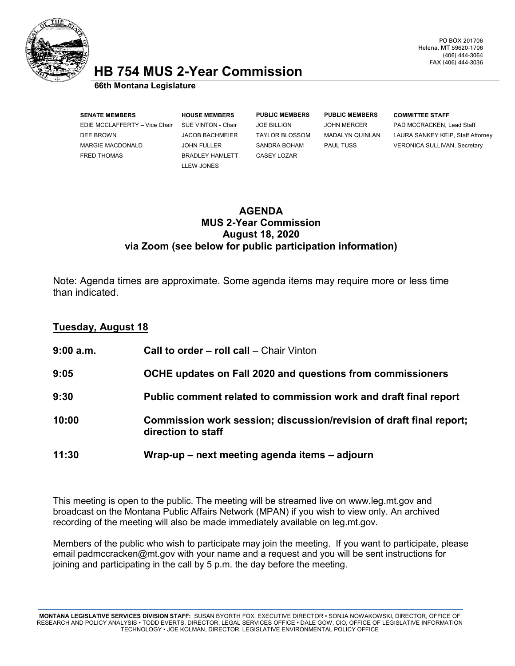

## **HB 754 MUS 2-Year Commission 66th Montana Legislature**

**SENATE MEMBERS HOUSE MEMBERS PUBLIC MEMBERS PUBLIC MEMBERS COMMITTEE STAFF** EDIE MCCLAFFERTY – Vice Chair SUE VINTON - Chair JOE BILLION JOHN MERCER PAD MCCRACKEN, Lead Staff MARGIE MACDONALD JOHN FULLER SANDRA BOHAM PAUL TUSS VERONICA SULLIVAN, Secretary FRED THOMAS BRADLEY HAMLETT CASEY LOZAR

LLEW JONES

DEE BROWN JACOB BACHMEIER TAYLOR BLOSSOM MADALYN QUINLAN LAURA SANKEY KEIP, Staff Attorney

## **AGENDA MUS 2-Year Commission August 18, 2020 via Zoom (see below for public participation information)**

Note: Agenda times are approximate. Some agenda items may require more or less time than indicated.

## **Tuesday, August 18**

| $9:00$ a.m. | <b>Call to order – roll call</b> – Chair Vinton                                           |
|-------------|-------------------------------------------------------------------------------------------|
| 9:05        | OCHE updates on Fall 2020 and questions from commissioners                                |
| 9:30        | Public comment related to commission work and draft final report                          |
| 10:00       | Commission work session; discussion/revision of draft final report;<br>direction to staff |
| 11:30       | Wrap-up – next meeting agenda items – adjourn                                             |

This meeting is open to the public. The meeting will be streamed live on www.leg.mt.gov and broadcast on the Montana Public Affairs Network (MPAN) if you wish to view only. An archived recording of the meeting will also be made immediately available on leg.mt.gov.

Members of the public who wish to participate may join the meeting. If you want to participate, please email padmccracken@mt.gov with your name and a request and you will be sent instructions for joining and participating in the call by 5 p.m. the day before the meeting.

**MONTANA LEGISLATIVE SERVICES DIVISION STAFF:** SUSAN BYORTH FOX, EXECUTIVE DIRECTOR • SONJA NOWAKOWSKI, DIRECTOR, OFFICE OF RESEARCH AND POLICY ANALYSIS • TODD EVERTS, DIRECTOR, LEGAL SERVICES OFFICE • DALE GOW, CIO, OFFICE OF LEGISLATIVE INFORMATION TECHNOLOGY • JOE KOLMAN, DIRECTOR, LEGISLATIVE ENVIRONMENTAL POLICY OFFICE